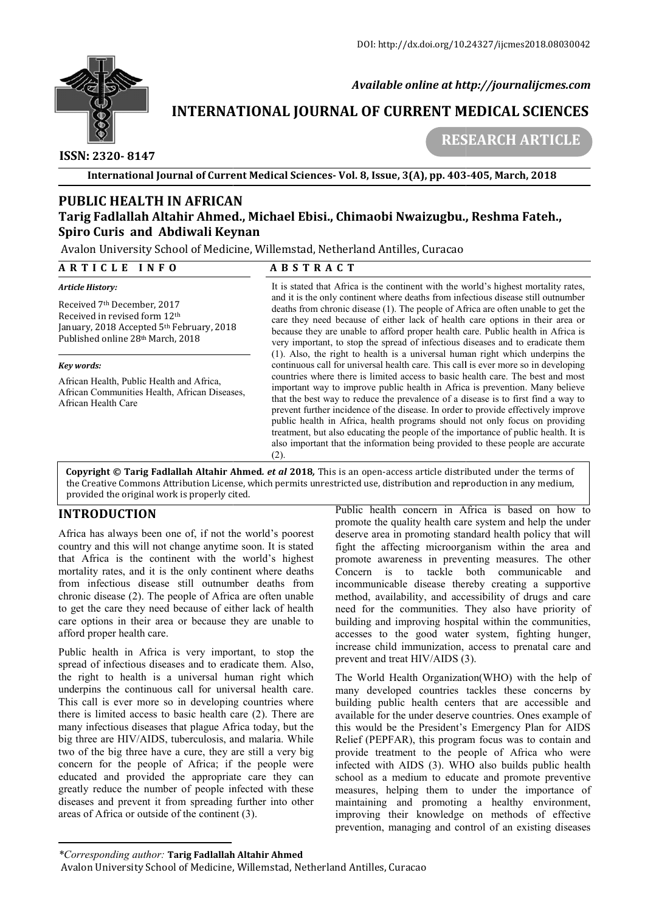

 *Available online at http://journalijcmes.com*

# **INTERNATIONAL JOURNAL OF CURRENT MEDICAL SCIENCES SCIENCES**

 **ISSN: 2320- 8147**

 **RESEARCH ARTICLE**

**International Journal of Current Medical Sciences Sciences- Vol. 8, Issue, 3(A), pp. 403**

# **PUBLIC HEALTH IN AFRICAN Tarig Fadlallah Altahir Ahmed., Michael Ebisi., Chimaobi Nwaizugbu., Reshma Spiro Curis and Abdiwali Keynan UBLIC HEALTH IN AFRICAN<br>arig Fadlallah Altahir Ahmed., Michael Ebisi., Chi<br>piro Curis and Abdiwali Keynan<br>walon University School of Medicine, Willemstad, Nether<br>R T I C L E I N F O A B S T R A C T** Altahir Ahmed., Michael Ebisi., Chimaobi Nwaizugbu., Reshma Fateh.,

Avalon University School of Medicine, Willemstad, Netherland Antilles, Curacao

### **A R T I C L E I N F O**

### *Article History:*

Received 7th December, 2017 Received in revised form 12th January, 2018 Accepted 5th February, 2018 Published online 28th March, 2018

### *Key words:*

African Health, Public Health and Africa, African Communities Health, African Diseases, African Health Care

# It is stated that Africa is the continent with the world's highest mortality rates,<br>and it is the only continent where deaths from infectious disease still outnumber<br>deaths from chronic disease (1). The people of Africa ar and it is the only continent where deaths from infectious disease still outnumber deaths from chronic disease (1). The people of Africa are often unable to get the care they need because of either lack of health care options in their area or because they are unable to afford proper health care. Public health in Africa is very important, to stop the spread of infectious diseases and to eradicate them (1). Also, the right to health is a universal human right which underpins the continuous call for universal health care. This call is ever more so in developing countries where there is limited access to basic health care. The best and most important way to improve public health in Africa is prevention. Many believe that the best way to reduce the prevalence of a disease is to first find a way to that the best way to reduce the prevalence of a disease is to first find a way to prevent further incidence of the disease. In order to provide effectively improve public health in Africa, health programs should not only focus on providing treatment, but also educating the people of the importance of public health. It is also important that the information being provided to these people are accurate (2). is stated that Africa is the continent with the world's highest mortality rates, d it is the only continent where deaths from infectious disease still outnumber aths from chronic disease (1). The people of Africa are often ic health in Africa, health programs should not only focus on providing<br>ment, but also educating the people of the importance of public health. It is<br>important that the information being provided to these people are accura **ue, 3(A), pp. 403-405, March, 2018**<br> **bi Nwaizugbu,, Reshma Fateh.,**<br>
ntilles, Curacao<br>
continent with the world's highest mortality rates,<br>
helper deaths from infectious diseases at ill outunable<br>
the feath from infectio

**Copyright © Tarig Fadlallah Altahir Ahmed** *. et al* **2018***,* This is an open-access article distributed under the terms of **Copyright © Tarig Fadlallah Altahir Ahmed.** *et al* **2018,** This is an open-access article distributed under the terms of<br>the Creative Commons Attribution License, which permits unrestricted use, distribution and reproducti provided the original work is properly cited.

# **INTRODUCTION**

Africa has always been one of, if not the world's poorest country and this will not change anytime soon. It is stated that Africa is the continent with the world's highest mortality rates, and it is the only continent where deaths from infectious disease still outnumber deaths from chronic disease (2). The people of Africa are often unable to get the care they need because of either lack of health care options in their area or because they are unable to afford proper health care.

Public health in Africa is very important, to stop the spread of infectious diseases and to eradicate them. Also, the right to health is a universal human right which underpins the continuous call for universal health care. This call is ever more so in developing countries where there is limited access to basic health care (2). There are many infectious diseases that plague Africa today, but the big three are HIV/AIDS, tuberculosis, and malaria. While two of the big three have a cure, they are still a very big concern for the people of Africa; if the people were educated and provided the appropriate care they can greatly reduce the number of people infected with these diseases and prevent it from spreading further into other areas of Africa or outside of the continent (3).

PODUCTION<br>
Public health concern in Africa is based on how to<br>public health concern in Africa is the continent with the world's procest<br>
deserve area in promoting standard health policy that will<br>
at Africa is the continen promote the quality health care system and help the under deserve area in promoting standard health policy that will fight the affecting microorganism within the area and promote awareness in preventing measures. The other Concern is to tackle both communicable and incommunicable disease thereby creating a supportive method, availability, and accessibility of drugs and care need for the communities. They also have priority of building and improving hospital within the communities, accesses to the good water system, fighting hunger, increase child immunization, access to prenatal care and prevent and treat HIV/AIDS (3). ffecting microorganism within the area and<br>wareness in preventing measures. The other<br>is to tackle both communicable and<br>cable disease thereby creating a supportive building and improving hospital within the communities, accesses to the good water system, fighting hunger, increase child immunization, access to prenatal care and prevent and treat HIV/AIDS (3). The World Health Organiza

The World Health Organization(WHO) with the help of many developed countries tackles these concerns by building public health centers that are accessible and available for the under deserve countries. Ones example of this would be the President's Emergency Plan for AIDS Relief (PEPFAR), this program focus was to contain and provide treatment to the people of Africa who were infected with AIDS (3). WHO also builds public health school as a medium to educate and promote preventive measures, helping them to under the importance of maintaining and promoting a healthy environment, improving their knowledge on methods of effective prevention, managing and control of an existing diseases many developed countries tackles these concerns by<br>building public health centers that are accessible and<br>available for the under deserve countries. Ones example of<br>this would be the President's Emergency Plan for AIDS<br>Rel

*\*Corresponding author:* **Tarig Fadlallah Altahir Ahmed**

Avalon University School of Medicine, Willemstad, Netherland Antilles, Curacao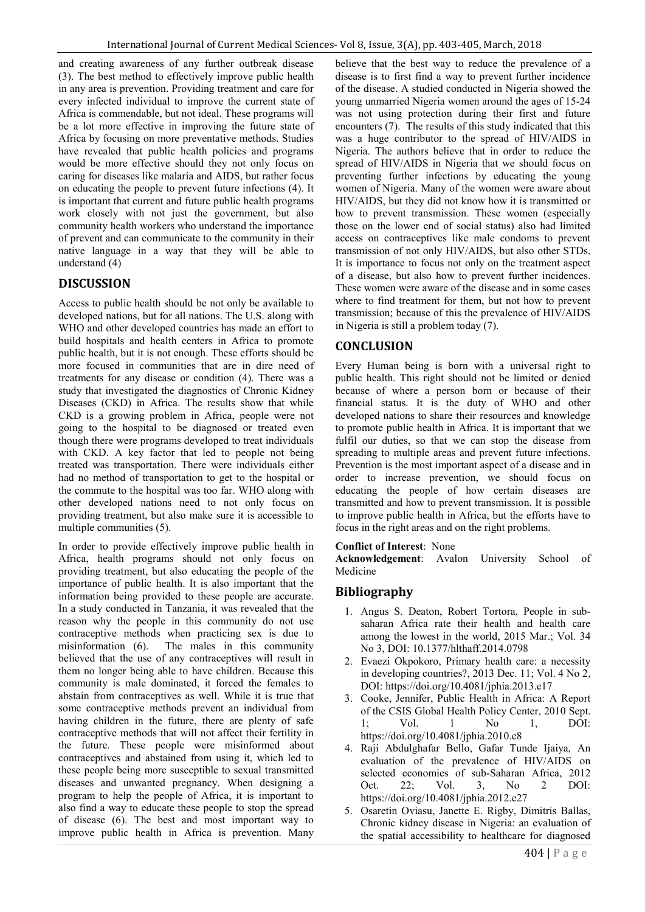and creating awareness of any further outbreak disease (3). The best method to effectively improve public health in any area is prevention. Providing treatment and care for every infected individual to improve the current state of Africa is commendable, but not ideal. These programs will be a lot more effective in improving the future state of Africa by focusing on more preventative methods. Studies have revealed that public health policies and programs would be more effective should they not only focus on caring for diseases like malaria and AIDS, but rather focus on educating the people to prevent future infections (4). It is important that current and future public health programs work closely with not just the government, but also community health workers who understand the importance of prevent and can communicate to the community in their native language in a way that they will be able to understand (4)

# **DISCUSSION**

Access to public health should be not only be available to developed nations, but for all nations. The U.S. along with WHO and other developed countries has made an effort to build hospitals and health centers in Africa to promote public health, but it is not enough. These efforts should be more focused in communities that are in dire need of treatments for any disease or condition (4). There was a study that investigated the diagnostics of Chronic Kidney Diseases (CKD) in Africa. The results show that while CKD is a growing problem in Africa, people were not going to the hospital to be diagnosed or treated even though there were programs developed to treat individuals with CKD. A key factor that led to people not being treated was transportation. There were individuals either had no method of transportation to get to the hospital or the commute to the hospital was too far. WHO along with other developed nations need to not only focus on providing treatment, but also make sure it is accessible to multiple communities (5).

In order to provide effectively improve public health in Africa, health programs should not only focus on providing treatment, but also educating the people of the importance of public health. It is also important that the information being provided to these people are accurate. In a study conducted in Tanzania, it was revealed that the reason why the people in this community do not use contraceptive methods when practicing sex is due to misinformation (6). The males in this community believed that the use of any contraceptives will result in them no longer being able to have children. Because this community is male dominated, it forced the females to abstain from contraceptives as well. While it is true that some contraceptive methods prevent an individual from having children in the future, there are plenty of safe contraceptive methods that will not affect their fertility in the future. These people were misinformed about contraceptives and abstained from using it, which led to these people being more susceptible to sexual transmitted diseases and unwanted pregnancy. When designing a program to help the people of Africa, it is important to also find a way to educate these people to stop the spread of disease (6). The best and most important way to improve public health in Africa is prevention. Many believe that the best way to reduce the prevalence of a disease is to first find a way to prevent further incidence of the disease. A studied conducted in Nigeria showed the young unmarried Nigeria women around the ages of 15-24 was not using protection during their first and future encounters (7). The results of this study indicated that this was a huge contributor to the spread of HIV/AIDS in Nigeria. The authors believe that in order to reduce the spread of HIV/AIDS in Nigeria that we should focus on preventing further infections by educating the young women of Nigeria. Many of the women were aware about HIV/AIDS, but they did not know how it is transmitted or how to prevent transmission. These women (especially those on the lower end of social status) also had limited access on contraceptives like male condoms to prevent transmission of not only HIV/AIDS, but also other STDs. It is importance to focus not only on the treatment aspect of a disease, but also how to prevent further incidences. These women were aware of the disease and in some cases where to find treatment for them, but not how to prevent transmission; because of this the prevalence of HIV/AIDS in Nigeria is still a problem today (7).

# **CONCLUSION**

Every Human being is born with a universal right to public health. This right should not be limited or denied because of where a person born or because of their financial status. It is the duty of WHO and other developed nations to share their resources and knowledge to promote public health in Africa. It is important that we fulfil our duties, so that we can stop the disease from spreading to multiple areas and prevent future infections. Prevention is the most important aspect of a disease and in order to increase prevention, we should focus on educating the people of how certain diseases are transmitted and how to prevent transmission. It is possible to improve public health in Africa, but the efforts have to focus in the right areas and on the right problems.

### **Conflict of Interest**: None

**Acknowledgement**: Avalon University School of Medicine

# **Bibliography**

- 1. Angus S. Deaton, Robert Tortora, People in subsaharan Africa rate their health and health care among the lowest in the world, 2015 Mar.; Vol. 34 No 3, DOI: 10.1377/hlthaff.2014.0798
- 2. Evaezi Okpokoro, Primary health care: a necessity in developing countries?, 2013 Dec. 11; Vol. 4 No 2, DOI: https://doi.org/10.4081/jphia.2013.e17
- 3. Cooke, Jennifer, Public Health in Africa: A Report of the CSIS Global Health Policy Center, 2010 Sept. 1; Vol. 1 No 1, DOI: https://doi.org/10.4081/jphia.2010.e8
- 4. Raji Abdulghafar Bello, Gafar Tunde Ijaiya, An evaluation of the prevalence of HIV/AIDS on selected economies of sub-Saharan Africa, 2012 Oct. 22; Vol. 3, No 2 DOI: https://doi.org/10.4081/jphia.2012.e27
- 5. Osaretin Oviasu, Janette E. Rigby, Dimitris Ballas, Chronic kidney disease in Nigeria: an evaluation of the spatial accessibility to healthcare for diagnosed